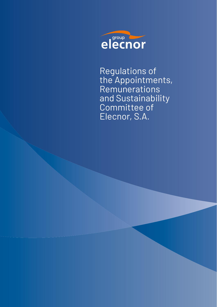

Regulations of the Appointments, Remunerations and Sustainability Committee of Elecnor, S.A.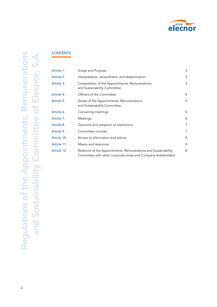

# **CONTENTS**

| Article 1.  | Scope and Purpose                                                                                                                | 3 |
|-------------|----------------------------------------------------------------------------------------------------------------------------------|---|
| Article 2.  | Interpretation, amendment, and dissemination                                                                                     | 3 |
| Article 3.  | Composition of the Appointments, Remunerations<br>and Sustainability Committee                                                   | 3 |
| Article 4.  | Officers of the Committee                                                                                                        | 4 |
| Article 5.  | Duties of the Appointments, Remunerations<br>and Sustainability Committee                                                        | 4 |
| Article 6.  | Convening meetings                                                                                                               | 6 |
| Article 7.  | Meetings                                                                                                                         | 6 |
| Article 8.  | Quorums and adoption of resolutions                                                                                              | 7 |
| Article 9.  | Committee minutes                                                                                                                | 7 |
| Article 10. | Access to information and advice                                                                                                 | 8 |
| Article 11. | Means and resources                                                                                                              | 8 |
| Article 12. | Relations of the Appointments, Remunerations and Sustainability<br>Committee with other corporate areas and Company shareholders | 8 |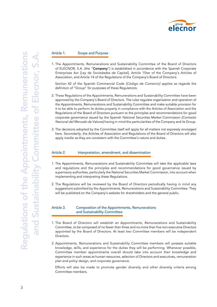

#### Article 1. Scope and Purpose

1. The Appointments, Remunerations and Sustainability Committee of the Board of Directors of ELECNOR, S.A. (the "Company") is established in accordance with the Spanish Corporate Enterprises Act [Ley de Sociedades de Capital], Article 15ter of the Company's Articles of Association, and Article 14 of the Regulations of the Company's Board of Directors.

Section 42 of the Spanish Commercial Code *[Código de Comercio]* applies as regards the definition of "Group" for purposes of these Regulations.

- 2. These Regulations of the Appointments, Remunerations and Sustainability Committee have been approved by the Company's Board of Directors. The rules regulate organisation and operation of the Appointments, Remunerations and Sustainability Committee and make suitable provision for it to be able to perform its duties properly in compliance with the Articles of Association and the Regulations of the Board of Directors pursuant to the principles and recommendations for good corporate governance issued by the Spanish National Securities Market Commission *[Comisión Nacional del Mercado de Valores]* having in mind the particularities of the Company and its Group.
- 3. The decisions adopted by the Committee itself will apply for all matters not expressly envisaged here. Secondarily, the Articles of Association and Regulations of the Board of Directors will also apply insofar as they are consistent with the Committee's nature and duties.

#### Article 2. Interpretation, amendment, and dissemination

- 1. The Appointments, Remunerations and Sustainability Committee will take the applicable laws and regulations and the principles and recommendations for good governance issued by supervisory authorities, particularly the National Securities Market Commission, into account when implementing and interpreting these Regulations.
- 2. The Regulations will be reviewed by the Board of Directors periodically having in mind any suggestions submitted by the Appointments, Remunerations and Sustainability Committee. They will be published on the Company's website for shareholders and the general public.

# Article 3. Composition of the Appointments, Remunerations and Sustainability Committee

- 1. The Board of Directors will establish an Appointments, Remunerations and Sustainability Committee, to be composed of no fewer than three and no more than five non-executive Directors appointed by the Board of Directors. At least two Committee members will be independent Directors.
- 2. Appointments, Remunerations and Sustainability Committee members will possess suitable knowledge, skills, and experience for the duties they will be performing. Whenever possible, Committee member appointments overall should take into account their knowledge and experience in such areas as human resources, selection of Directors and executives, remuneration plan and policy design, and corporate governance.

Efforts will also be made to promote gender diversity and other diversity criteria among Committee members.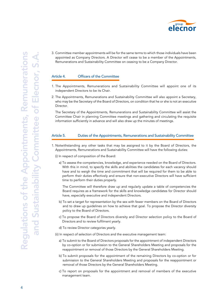

3. Committee member appointments will be for the same terms to which those individuals have been appointed as Company Directors. A Director will cease to be a member of the Appointments, Remunerations and Sustainability Committee on ceasing to be a Company Director.

## Article 4. Officers of the Committee

- 1. The Appointments, Remunerations and Sustainability Committee will appoint one of its independent Directors to be its Chair.
- 2. The Appointments, Remunerations and Sustainability Committee will also appoint a Secretary, who may be the Secretary of the Board of Directors, on condition that he or she is not an executive Director.

The Secretary of the Appointments, Remunerations and Sustainability Committee will assist the Committee Chair in planning Committee meetings and gathering and circulating the requisite information sufficiently in advance and will also draw up the minutes of meetings.

#### Article 5. Duties of the Appointments, Remunerations and Sustainability Committee

- 1. Notwithstanding any other tasks that may be assigned to it by the Board of Directors, the Appointments, Remunerations and Sustainability Committee will have the following duties:
	- (i) In respect of composition of the Board:
		- a) To assess the competencies, knowledge, and experience needed on the Board of Directors. With this in mind, to specify the skills and abilities the candidates for each vacancy should have and to weigh the time and commitment that will be required for them to be able to perform their duties effectively and ensure that non-executive Directors will have sufficient time to perform their duties properly.

The Committee will therefore draw up and regularly update a table of competencies the Board requires as a framework for the skills and knowledge candidates for Director should have, especially executive and independent Directors.

- b) To set a target for representation by the sex with fewer members on the Board of Directors and to draw up guidelines on how to achieve that goal. To propose the Director diversity policy to the Board of Directors.
- c) To propose the Board of Directors diversity and Director selection policy to the Board of Directors and to review fulfilment yearly.
- d) To review Director categories yearly.

(ii) In respect of selection of Directors and the executive management team:

- a) To submit to the Board of Directors proposals for the appointment of independent Directors by co-option or for submission to the General Shareholders Meeting and proposals for the reappointment or removal of those Directors by the General Shareholders Meeting.
- b) To submit proposals for the appointment of the remaining Directors by co-option or for submission to the General Shareholders Meeting and proposals for the reappointment or removal of those Directors by the General Shareholders Meeting.
- c) To report on proposals for the appointment and removal of members of the executive management team.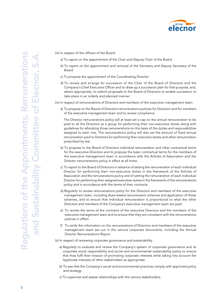

(iii) In respect of the officers of the Board:

- a) To report on the appointment of the Chair and Deputy Chair of the Board.
- b) To report on the appointment and removal of the Secretary and Deputy Secretary of the Board.
- c) To propose the appointment of the Coordinating Director.
- d) To review and arrange for succession of the Chair of the Board of Directors and the Company's Chief Executive Officer and to draw up a succession plan for that purpose, and, where appropriate, to submit proposals to the Board of Directors to enable succession to take place in an orderly and planned manner.

(iv) In respect of remunerations of Directors and members of the executive management team:

a) To propose to the Board of Directors remunerations policies for Directors and for members of the executive management team and to review compliance.

The Director remunerations policy will at least set a cap on the annual remuneration to be paid to all the Directors as a group for performing their non-executive duties along with guidelines for allocating those remunerations on the basis of the duties and responsibilities assigned to each one. The remunerations policy will also set the amount of fixed annual remuneration paid to Directors for performing their executive duties and other remuneration prescribed by law.

- b) To propose to the Board of Directors individual remuneration and other contractual terms for the executive Directors and to propose the basic contractual terms for the members of the executive management team in accordance with the Articles of Association and the Director remunerations policy in effect at all times.
- c) To report to the Board of Directors in advance of setting the remuneration of each individual Director for performing their non-executive duties in the framework of the Articles of Association and the remunerations policy and of setting the remuneration of each individual Director for performing their assigned executive duties in the framework of the remunerations policy and in accordance with the terms of their contracts.
- d) Regularly to review remunerations policy for the Directors and members of the executive management team, including share-based remuneration schemes and application of those schemes, and to ensure that individual remuneration is proportional to what the other Directors and members of the Company's executive management team are paid.
- e) To review the terms of the contracts of the executive Directors and the members of the executive management team and to ensure that they are consistent with the remunerations policies in effect.
- f) To verify the information on the remunerations of Directors and members of the executive management team set out in the various corporate documents, including the Annual Director Remunerations Report.
- (v) In respect of reviewing corporate governance and sustainability:
	- a) Regularly to evaluate and review the Company's system of corporate governance and its corporate social responsibility and social and environmental sustainability policy to ensure that they fulfil their mission of promoting corporate interests while taking into account the legitimate interests of other stakeholders as appropriate.
	- b) To see that the Company's social and environmental practices comply with approved policy and strategy.
	- c) To supervise and assess relationships with the various stakeholders.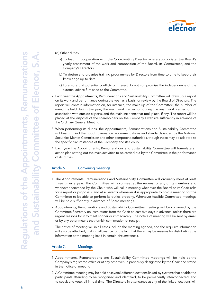

(vi) Other duties:

- a) To lead, in cooperation with the Coordinating Director where appropriate, the Board's yearly assessment of the work and composition of the Board, its Committees, and the Company's Directors.
- b) To design and organise training programmes for Directors from time to time to keep their knowledge up to date.
- c) To ensure that potential conflicts of interest do not compromise the independence of the external advice furnished to the Committee.
- 2. Each year the Appointments, Remunerations and Sustainability Committee will draw up a report on its work and performance during the year as a basis for review by the Board of Directors. The report will contain information on, for instance, the make-up of the Committee, the number of meetings held during the year, the main work carried on during the year, work carried out in association with outside experts, and the main incidents that took place, if any. The report will be placed at the disposal of the shareholders on the Company's website sufficiently in advance of the Ordinary General Meeting.
- 3. When performing its duties, the Appointments, Remunerations and Sustainability Committee will bear in mind the good governance recommendations and standards issued by the National Securities Market Commission and other competent authorities, though these may be adapted to the specific circumstances of the Company and its Group.
- 4. Each year the Appointments, Remunerations and Sustainability Committee will formulate an action plan setting out the main activities to be carried out by the Committee in the performance of its duties.

# Article 6. Convening meetings

- 1. The Appointments, Remunerations and Sustainability Committee will ordinarily meet at least three times a year. The Committee will also meet at the request of any of its members and whenever convened by the Chair, who will call a meeting whenever the Board or its Chair asks for a report or proposals, and at all events whenever it is appropriate to hold a meeting for the Committee to be able to perform its duties properly. Whenever feasible Committee meetings will be held sufficiently in advance of Board meetings.
- 2. Appointments, Remunerations and Sustainability Committee meetings will be convened by the Committee Secretary on instructions from the Chair at least five days in advance, unless there are urgent reasons for it to meet sooner or immediately. The notice of meeting will be sent by email or by any other means that furnish confirmation of receipt.

The notice of meeting will in all cases include the meeting agenda, and the requisite information will also be attached, making allowance for the fact that there may be reasons for distributing the information at the meeting itself in certain circumstances.

#### Article 7. Meetings

- 1. Appointments, Remunerations and Sustainability Committee meetings will be held at the Company's registered office or at any other venue previously designated by the Chair and stated in the notice of meeting.
- 2. A Committee meeting may be held at several different locations linked by systems that enable the participants attending to be recognised and identified, to be permanently interconnected, and to speak and vote, all in real time. The Directors in attendance at any of the linked locations will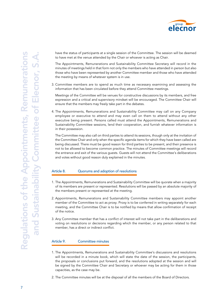

have the status of participants at a single session of the Committee. The session will be deemed to have met at the venue attended by the Chair or whoever is acting as Chair.

The Appointments, Remunerations and Sustainability Committee Secretary will record in the minutes of meetings held in that form not only the members who have attended in person but also those who have been represented by another Committee member and those who have attended the meeting by means of whatever system is in use.

3. Committee members are to spend as much time as necessary examining and assessing the information that has been circulated before they attend Committee meetings.

Meetings of the Committee will be venues for constructive discussions by its members, and free expression and a critical and supervisory mindset will be encouraged. The Committee Chair will ensure that the members may freely take part in the debates.

4. The Appointments, Remunerations and Sustainability Committee may call on any Company employee or executive to attend and may even call on them to attend without any other executive being present. Persons called must attend the Appointments, Remunerations and Sustainability Committee sessions, lend their cooperation, and furnish whatever information is in their possession.

The Committee may also call on third parties to attend its sessions, though only at the invitation of the Committee Chair and only when the specific agenda items for which they have been called are being discussed. There must be good reason for third parties to be present, and their presence is not to be allowed to become common practice. The minutes of Committee meetings will record the entrance and exit of the various guests. Guests will not attend the Committee's deliberations and votes without good reason duly explained in the minutes.

# Article 8. Quorums and adoption of resolutions

- 1. The Appointments, Remunerations and Sustainability Committee will be quorate when a majority of its members are present or represented. Resolutions will be passed by an absolute majority of the members present or represented at the meeting.
- 2. Appointments, Remunerations and Sustainability Committee members may appoint another member of the Committee to act as proxy. Proxy is to be conferred in writing separately for each meeting, and the Committee Chair is to be notified by means that allow confirmation of receipt of the notice.
- 3. Any Committee member that has a conflict of interest will not take part in the deliberations and voting on resolutions or decisions regarding which the member, or any person related to that member, has a direct or indirect conflict.

#### Article 9. Committee minutes

- 1. The Appointments, Remunerations and Sustainability Committee's discussions and resolutions will be recorded in a minute book, which will state the date of the session, the participants, the proposals or conclusions put forward, and the resolutions adopted at the session and will be signed by the Committee Chair and Secretary or whoever may be acting for them in those capacities, as the case may be.
- 2. The Committee minutes will be at the disposal of all the members of the Board of Directors.